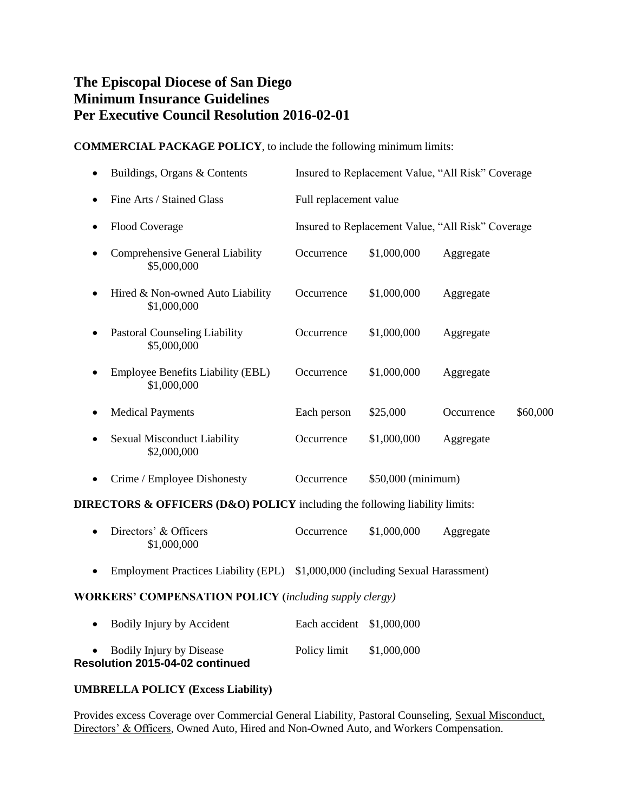# **The Episcopal Diocese of San Diego Minimum Insurance Guidelines Per Executive Council Resolution 2016-02-01**

## **COMMERCIAL PACKAGE POLICY**, to include the following minimum limits:

|   | Buildings, Organs & Contents                            |                        |                    | Insured to Replacement Value, "All Risk" Coverage |          |
|---|---------------------------------------------------------|------------------------|--------------------|---------------------------------------------------|----------|
|   | Fine Arts / Stained Glass                               | Full replacement value |                    |                                                   |          |
|   | <b>Flood Coverage</b>                                   |                        |                    | Insured to Replacement Value, "All Risk" Coverage |          |
|   | Comprehensive General Liability<br>\$5,000,000          | Occurrence             | \$1,000,000        | Aggregate                                         |          |
|   | Hired & Non-owned Auto Liability<br>\$1,000,000         | Occurrence             | \$1,000,000        | Aggregate                                         |          |
|   | <b>Pastoral Counseling Liability</b><br>\$5,000,000     | Occurrence             | \$1,000,000        | Aggregate                                         |          |
|   | <b>Employee Benefits Liability (EBL)</b><br>\$1,000,000 | Occurrence             | \$1,000,000        | Aggregate                                         |          |
|   | <b>Medical Payments</b>                                 | Each person            | \$25,000           | Occurrence                                        | \$60,000 |
| ٠ | <b>Sexual Misconduct Liability</b><br>\$2,000,000       | Occurrence             | \$1,000,000        | Aggregate                                         |          |
|   | Crime / Employee Dishonesty                             | Occurrence             | \$50,000 (minimum) |                                                   |          |

### **DIRECTORS & OFFICERS (D&O) POLICY** including the following liability limits:

| • Directors' & Officers | Occurrence | \$1,000,000 | Aggregate |
|-------------------------|------------|-------------|-----------|
| \$1,000,000             |            |             |           |

• Employment Practices Liability (EPL) \$1,000,000 (including Sexual Harassment)

### **WORKERS' COMPENSATION POLICY (***including supply clergy)*

| • Bodily Injury by Disease<br>Resolution 2015-04-02 continued | Policy limit              | \$1,000,000 |
|---------------------------------------------------------------|---------------------------|-------------|
| Bodily Injury by Accident                                     | Each accident \$1,000,000 |             |

### **UMBRELLA POLICY (Excess Liability)**

Provides excess Coverage over Commercial General Liability, Pastoral Counseling, Sexual Misconduct, Directors' & Officers, Owned Auto, Hired and Non-Owned Auto, and Workers Compensation.